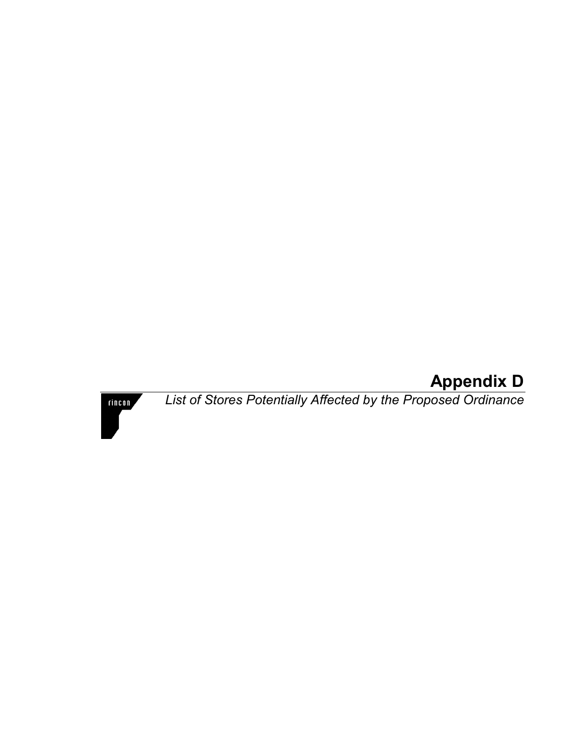## **Appendix D**

**rincon** 

 *List of Stores Potentially Affected by the Proposed Ordinance*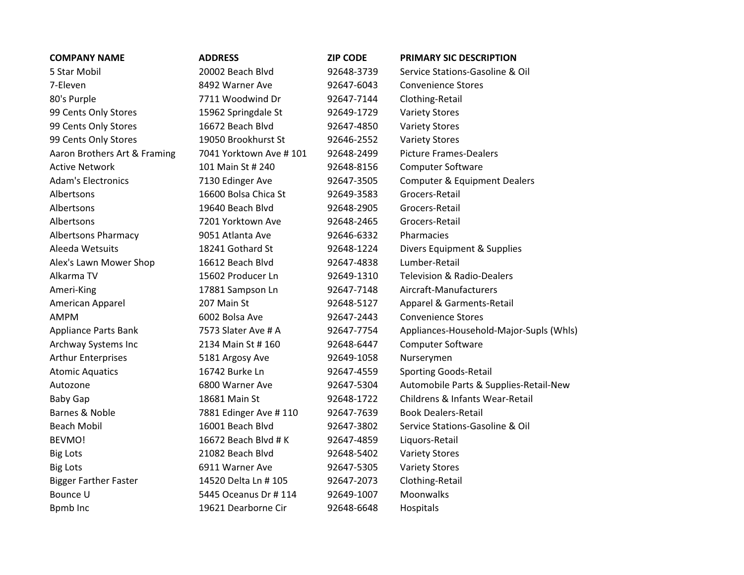| <b>COMPANY NAME</b>          | <b>ADDRESS</b>          | <b>ZIP CODE</b> | <b>PRIMARY SIC DESCRIPTION</b>          |
|------------------------------|-------------------------|-----------------|-----------------------------------------|
| 5 Star Mobil                 | 20002 Beach Blvd        | 92648-3739      | Service Stations-Gasoline & Oil         |
| 7-Eleven                     | 8492 Warner Ave         | 92647-6043      | <b>Convenience Stores</b>               |
| 80's Purple                  | 7711 Woodwind Dr        | 92647-7144      | Clothing-Retail                         |
| 99 Cents Only Stores         | 15962 Springdale St     | 92649-1729      | <b>Variety Stores</b>                   |
| 99 Cents Only Stores         | 16672 Beach Blvd        | 92647-4850      | <b>Variety Stores</b>                   |
| 99 Cents Only Stores         | 19050 Brookhurst St     | 92646-2552      | <b>Variety Stores</b>                   |
| Aaron Brothers Art & Framing | 7041 Yorktown Ave # 101 | 92648-2499      | <b>Picture Frames-Dealers</b>           |
| <b>Active Network</b>        | 101 Main St # 240       | 92648-8156      | <b>Computer Software</b>                |
| <b>Adam's Electronics</b>    | 7130 Edinger Ave        | 92647-3505      | <b>Computer &amp; Equipment Dealers</b> |
| Albertsons                   | 16600 Bolsa Chica St    | 92649-3583      | Grocers-Retail                          |
| Albertsons                   | 19640 Beach Blvd        | 92648-2905      | Grocers-Retail                          |
| Albertsons                   | 7201 Yorktown Ave       | 92648-2465      | Grocers-Retail                          |
| <b>Albertsons Pharmacy</b>   | 9051 Atlanta Ave        | 92646-6332      | Pharmacies                              |
| Aleeda Wetsuits              | 18241 Gothard St        | 92648-1224      | Divers Equipment & Supplies             |
| Alex's Lawn Mower Shop       | 16612 Beach Blvd        | 92647-4838      | Lumber-Retail                           |
| Alkarma TV                   | 15602 Producer Ln       | 92649-1310      | <b>Television &amp; Radio-Dealers</b>   |
| Ameri-King                   | 17881 Sampson Ln        | 92647-7148      | Aircraft-Manufacturers                  |
| American Apparel             | 207 Main St             | 92648-5127      | Apparel & Garments-Retail               |
| <b>AMPM</b>                  | 6002 Bolsa Ave          | 92647-2443      | <b>Convenience Stores</b>               |
| <b>Appliance Parts Bank</b>  | 7573 Slater Ave # A     | 92647-7754      | Appliances-Household-Major-Supls (Whls) |
| Archway Systems Inc          | 2134 Main St # 160      | 92648-6447      | Computer Software                       |
| <b>Arthur Enterprises</b>    | 5181 Argosy Ave         | 92649-1058      | Nurserymen                              |
| <b>Atomic Aquatics</b>       | 16742 Burke Ln          | 92647-4559      | <b>Sporting Goods-Retail</b>            |
| Autozone                     | 6800 Warner Ave         | 92647-5304      | Automobile Parts & Supplies-Retail-New  |
| <b>Baby Gap</b>              | 18681 Main St           | 92648-1722      | Childrens & Infants Wear-Retail         |
| Barnes & Noble               | 7881 Edinger Ave #110   | 92647-7639      | <b>Book Dealers-Retail</b>              |
| <b>Beach Mobil</b>           | 16001 Beach Blvd        | 92647-3802      | Service Stations-Gasoline & Oil         |
| <b>BEVMO!</b>                | 16672 Beach Blvd # K    | 92647-4859      | Liquors-Retail                          |
| <b>Big Lots</b>              | 21082 Beach Blvd        | 92648-5402      | <b>Variety Stores</b>                   |
| <b>Big Lots</b>              | 6911 Warner Ave         | 92647-5305      | <b>Variety Stores</b>                   |
| <b>Bigger Farther Faster</b> | 14520 Delta Ln # 105    | 92647-2073      | Clothing-Retail                         |
| <b>Bounce U</b>              | 5445 Oceanus Dr # 114   | 92649-1007      | Moonwalks                               |
| Bpmb Inc                     | 19621 Dearborne Cir     | 92648-6648      | Hospitals                               |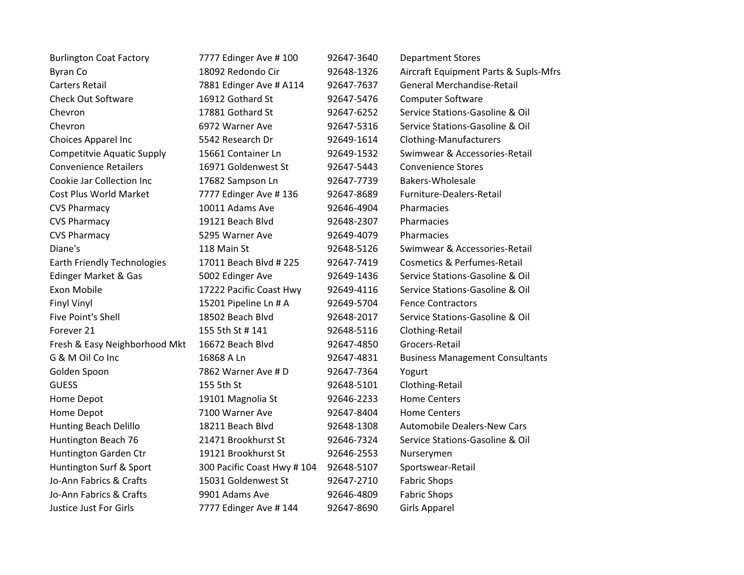| <b>Burlington Coat Factory</b>     | 7777 Edinger Ave # 100      | 92647-3640 | <b>Department Stores</b>               |
|------------------------------------|-----------------------------|------------|----------------------------------------|
| <b>Byran Co</b>                    | 18092 Redondo Cir           | 92648-1326 | Aircraft Equipment Parts & Supls-Mfrs  |
| <b>Carters Retail</b>              | 7881 Edinger Ave # A114     | 92647-7637 | <b>General Merchandise-Retail</b>      |
| <b>Check Out Software</b>          | 16912 Gothard St            | 92647-5476 | <b>Computer Software</b>               |
| Chevron                            | 17881 Gothard St            | 92647-6252 | Service Stations-Gasoline & Oil        |
| Chevron                            | 6972 Warner Ave             | 92647-5316 | Service Stations-Gasoline & Oil        |
| Choices Apparel Inc                | 5542 Research Dr            | 92649-1614 | <b>Clothing-Manufacturers</b>          |
| <b>Competitvie Aquatic Supply</b>  | 15661 Container Ln          | 92649-1532 | Swimwear & Accessories-Retail          |
| <b>Convenience Retailers</b>       | 16971 Goldenwest St         | 92647-5443 | <b>Convenience Stores</b>              |
| Cookie Jar Collection Inc          | 17682 Sampson Ln            | 92647-7739 | Bakers-Wholesale                       |
| Cost Plus World Market             | 7777 Edinger Ave #136       | 92647-8689 | Furniture-Dealers-Retail               |
| <b>CVS Pharmacy</b>                | 10011 Adams Ave             | 92646-4904 | Pharmacies                             |
| <b>CVS Pharmacy</b>                | 19121 Beach Blvd            | 92648-2307 | Pharmacies                             |
| <b>CVS Pharmacy</b>                | 5295 Warner Ave             | 92649-4079 | Pharmacies                             |
| Diane's                            | 118 Main St                 | 92648-5126 | Swimwear & Accessories-Retail          |
| <b>Earth Friendly Technologies</b> | 17011 Beach Blvd # 225      | 92647-7419 | <b>Cosmetics &amp; Perfumes-Retail</b> |
| Edinger Market & Gas               | 5002 Edinger Ave            | 92649-1436 | Service Stations-Gasoline & Oil        |
| Exon Mobile                        | 17222 Pacific Coast Hwy     | 92649-4116 | Service Stations-Gasoline & Oil        |
| <b>Finyl Vinyl</b>                 | 15201 Pipeline Ln # A       | 92649-5704 | <b>Fence Contractors</b>               |
| <b>Five Point's Shell</b>          | 18502 Beach Blvd            | 92648-2017 | Service Stations-Gasoline & Oil        |
| Forever 21                         | 155 5th St # 141            | 92648-5116 | Clothing-Retail                        |
| Fresh & Easy Neighborhood Mkt      | 16672 Beach Blvd            | 92647-4850 | Grocers-Retail                         |
| G & M Oil Co Inc                   | 16868 A Ln                  | 92647-4831 | <b>Business Management Consultants</b> |
| Golden Spoon                       | 7862 Warner Ave # D         | 92647-7364 | Yogurt                                 |
| <b>GUESS</b>                       | 155 5th St                  | 92648-5101 | Clothing-Retail                        |
| Home Depot                         | 19101 Magnolia St           | 92646-2233 | <b>Home Centers</b>                    |
| Home Depot                         | 7100 Warner Ave             | 92647-8404 | <b>Home Centers</b>                    |
| Hunting Beach Delillo              | 18211 Beach Blvd            | 92648-1308 | <b>Automobile Dealers-New Cars</b>     |
| Huntington Beach 76                | 21471 Brookhurst St         | 92646-7324 | Service Stations-Gasoline & Oil        |
| Huntington Garden Ctr              | 19121 Brookhurst St         | 92646-2553 | Nurserymen                             |
| Huntington Surf & Sport            | 300 Pacific Coast Hwy # 104 | 92648-5107 | Sportswear-Retail                      |
| Jo-Ann Fabrics & Crafts            | 15031 Goldenwest St         | 92647-2710 | <b>Fabric Shops</b>                    |
| Jo-Ann Fabrics & Crafts            | 9901 Adams Ave              | 92646-4809 | <b>Fabric Shops</b>                    |
| Justice Just For Girls             | 7777 Edinger Ave # 144      | 92647-8690 | <b>Girls Apparel</b>                   |
|                                    |                             |            |                                        |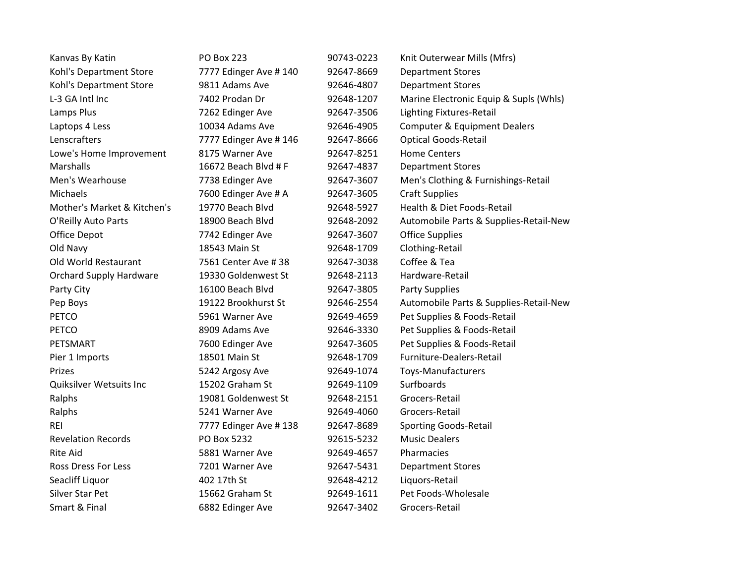| Kanvas By Katin                | <b>PO Box 223</b>      | 90743-0223 | Knit Outerwear Mills (Mfrs)             |
|--------------------------------|------------------------|------------|-----------------------------------------|
| Kohl's Department Store        | 7777 Edinger Ave # 140 | 92647-8669 | <b>Department Stores</b>                |
| Kohl's Department Store        | 9811 Adams Ave         | 92646-4807 | <b>Department Stores</b>                |
| L-3 GA Intl Inc                | 7402 Prodan Dr         | 92648-1207 | Marine Electronic Equip & Supls (Whls)  |
| Lamps Plus                     | 7262 Edinger Ave       | 92647-3506 | <b>Lighting Fixtures-Retail</b>         |
| Laptops 4 Less                 | 10034 Adams Ave        | 92646-4905 | <b>Computer &amp; Equipment Dealers</b> |
| Lenscrafters                   | 7777 Edinger Ave # 146 | 92647-8666 | <b>Optical Goods-Retail</b>             |
| Lowe's Home Improvement        | 8175 Warner Ave        | 92647-8251 | <b>Home Centers</b>                     |
| Marshalls                      | 16672 Beach Blvd # F   | 92647-4837 | <b>Department Stores</b>                |
| Men's Wearhouse                | 7738 Edinger Ave       | 92647-3607 | Men's Clothing & Furnishings-Retail     |
| Michaels                       | 7600 Edinger Ave # A   | 92647-3605 | <b>Craft Supplies</b>                   |
| Mother's Market & Kitchen's    | 19770 Beach Blvd       | 92648-5927 | Health & Diet Foods-Retail              |
| O'Reilly Auto Parts            | 18900 Beach Blyd       | 92648-2092 | Automobile Parts & Supplies-Retail-New  |
| Office Depot                   | 7742 Edinger Ave       | 92647-3607 | <b>Office Supplies</b>                  |
| Old Navy                       | 18543 Main St          | 92648-1709 | Clothing-Retail                         |
| Old World Restaurant           | 7561 Center Ave #38    | 92647-3038 | Coffee & Tea                            |
| <b>Orchard Supply Hardware</b> | 19330 Goldenwest St    | 92648-2113 | Hardware-Retail                         |
| Party City                     | 16100 Beach Blvd       | 92647-3805 | <b>Party Supplies</b>                   |
| Pep Boys                       | 19122 Brookhurst St    | 92646-2554 | Automobile Parts & Supplies-Retail-New  |
| <b>PETCO</b>                   | 5961 Warner Ave        | 92649-4659 | Pet Supplies & Foods-Retail             |
| <b>PETCO</b>                   | 8909 Adams Ave         | 92646-3330 | Pet Supplies & Foods-Retail             |
| PETSMART                       | 7600 Edinger Ave       | 92647-3605 | Pet Supplies & Foods-Retail             |
| Pier 1 Imports                 | 18501 Main St          | 92648-1709 | Furniture-Dealers-Retail                |
| Prizes                         | 5242 Argosy Ave        | 92649-1074 | Toys-Manufacturers                      |
| Quiksilver Wetsuits Inc        | 15202 Graham St        | 92649-1109 | Surfboards                              |
| Ralphs                         | 19081 Goldenwest St    | 92648-2151 | Grocers-Retail                          |
| Ralphs                         | 5241 Warner Ave        | 92649-4060 | Grocers-Retail                          |
| <b>REI</b>                     | 7777 Edinger Ave #138  | 92647-8689 | <b>Sporting Goods-Retail</b>            |
| <b>Revelation Records</b>      | PO Box 5232            | 92615-5232 | <b>Music Dealers</b>                    |
| <b>Rite Aid</b>                | 5881 Warner Ave        | 92649-4657 | Pharmacies                              |
| <b>Ross Dress For Less</b>     | 7201 Warner Ave        | 92647-5431 | <b>Department Stores</b>                |
| Seacliff Liquor                | 402 17th St            | 92648-4212 | Liquors-Retail                          |
| Silver Star Pet                | 15662 Graham St        | 92649-1611 | Pet Foods-Wholesale                     |
| Smart & Final                  | 6882 Edinger Ave       | 92647-3402 | Grocers-Retail                          |